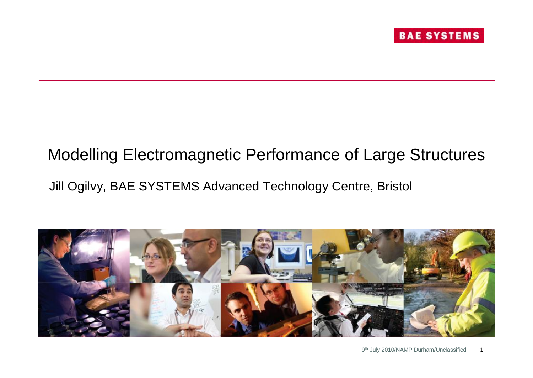

# Modelling Electromagnetic Performance of Large Structures Jill Ogilvy, BAE SYSTEMS Advanced Technology Centre, Bristol

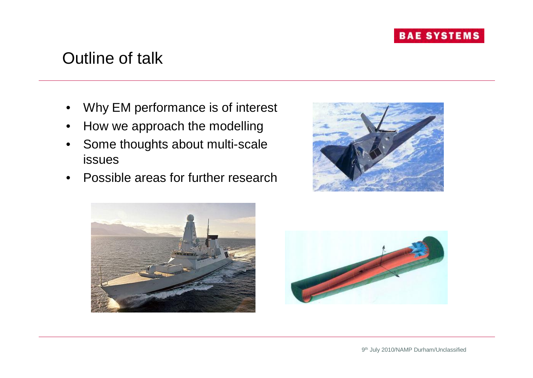### Outline of talk

- Why EM performance is of interest
- How we approach the modelling
- Some thoughts about multi-scale issues
- Possible areas for further research





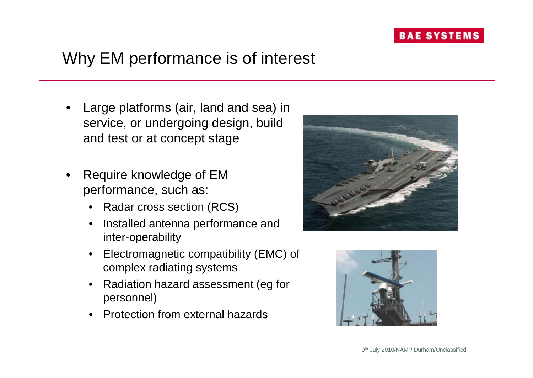# Why EM performance is of interest

- Large platforms (air, land and sea) in service, or undergoing design, build and test or at concept stage
- Require knowledge of EM performance, such as:
	- Radar cross section (RCS)
	- Installed antenna performance and inter-operability
	- Electromagnetic compatibility (EMC) of complex radiating systems
	- Radiation hazard assessment (eg for personnel)
	- Protection from external hazards



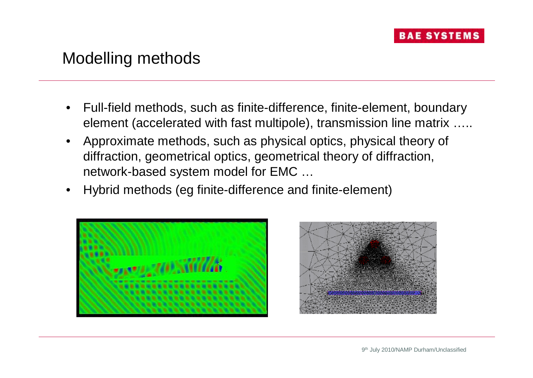### Modelling methods

- Full-field methods, such as finite-difference, finite-element, boundary element (accelerated with fast multipole), transmission line matrix …..
- Approximate methods, such as physical optics, physical theory of diffraction, geometrical optics, geometrical theory of diffraction, network-based system model for EMC …
- Hybrid methods (eg finite-difference and finite-element)



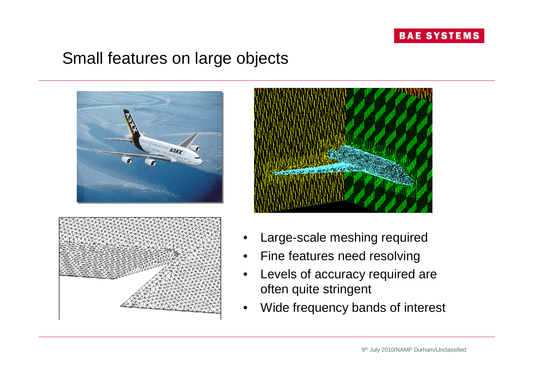

### Small features on large objects





- Large-scale meshing required
- Fine features need resolving
- Levels of accuracy required are often quite stringent
- Wide frequency bands of interest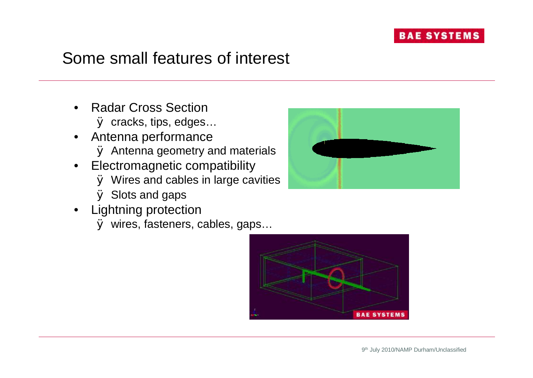### Some small features of interest

- Radar Cross Section Ø cracks, tips, edges…
- Antenna performance Ø Antenna geometry and materials
- Electromagnetic compatibility Ø Wires and cables in large cavities
	- Ø Slots and gaps
- Lightning protection

Ø wires, fasteners, cables, gaps…



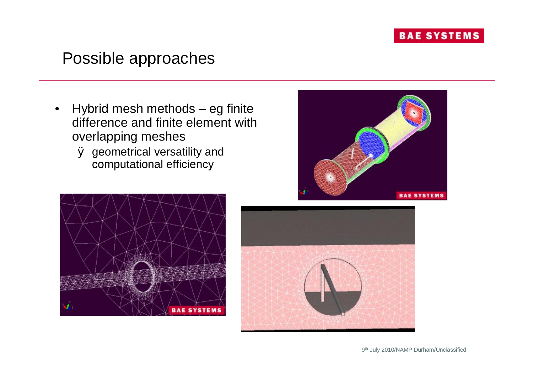### Possible approaches

- Hybrid mesh methods eg finite difference and finite element with overlapping meshes
	- Ø geometrical versatility and computational efficiency





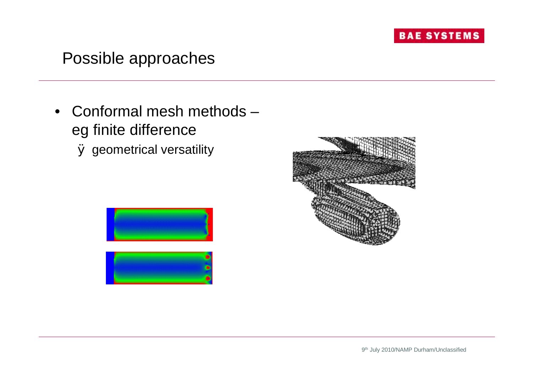### Possible approaches

• Conformal mesh methods – eg finite difference Ø geometrical versatility



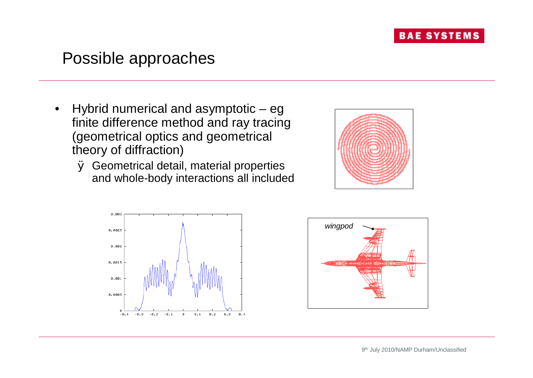

### Possible approaches

- Hybrid numerical and asymptotic eg finite difference method and ray tracing (geometrical optics and geometrical theory of diffraction)
	- Ø Geometrical detail, material properties and whole-body interactions all included





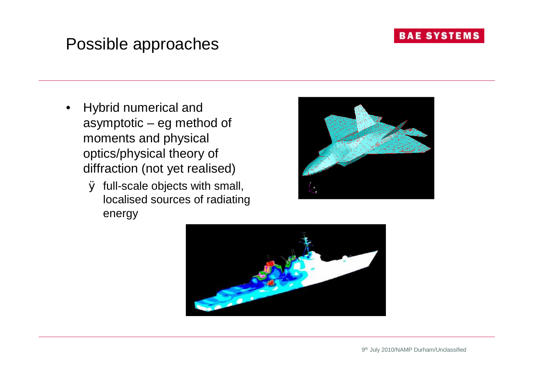### Possible approaches

- Hybrid numerical and asymptotic – eg method of moments and physical optics/physical theory of diffraction (not yet realised)
	- Ø full-scale objects with small, localised sources of radiating energy